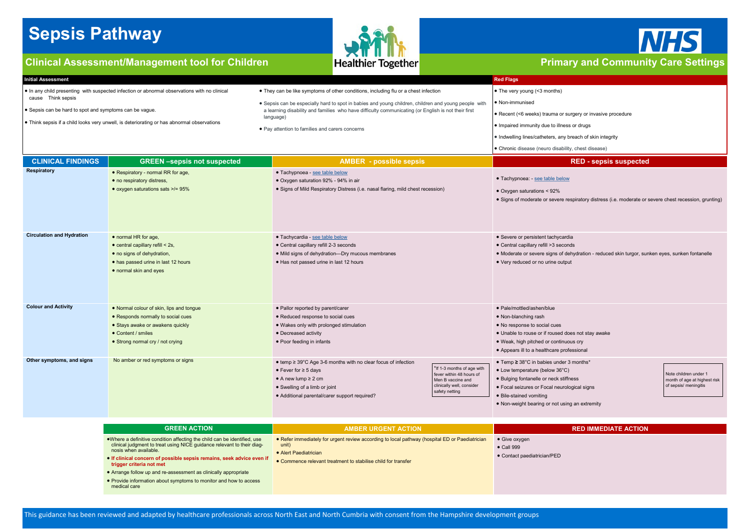# <span id="page-0-0"></span>**Sepsis Pathway**

## **Clinical Assessment/Management tool for Children Primary and Community Care Settings**



This guidance has been reviewed and adapted by healthcare professionals across North East and North Cumbria with consent from the Hampshire development groups



#### **Initial Assessment Red Flags**

- In any child presenting with suspected infection or abnormal observations with no clinical cause Think sepsis
- Sepsis can be hard to spot and symptoms can be vague.
- Think sepsis if a child looks very unwell, is deteriorating or has abnormal observations
- They can be like symptoms of other conditions, including flu or a chest infection • Sepsis can be especially hard to spot in babies and young children, children and young people with a learning disability and families who have difficulty communicating (or English is not their first language)
- Pay attention to families and carers concerns

• The very young (<3 months)

• Non-immunised

• Recent (<6 weeks) trauma or surgery or invasive procedure

• Impaired immunity due to illness or drugs

• Indwelling lines/catheters, any breach of skin integrity

• Chronic disease (neuro disability, chest disease)

| <b>GREEN ACTION</b>                                                                                                                                                                                                                                                                                                                                                                                                       | <b>AMBER URGENT ACTION</b>                                                                                                                                                                                |                                                                    |
|---------------------------------------------------------------------------------------------------------------------------------------------------------------------------------------------------------------------------------------------------------------------------------------------------------------------------------------------------------------------------------------------------------------------------|-----------------------------------------------------------------------------------------------------------------------------------------------------------------------------------------------------------|--------------------------------------------------------------------|
| • Where a definitive condition affecting the child can be identified, use<br>clinical judgment to treat using NICE guidance relevant to their diag-<br>nosis when available.<br>• If clinical concern of possible sepsis remains, seek advice even if<br>trigger criteria not met<br>• Arrange follow up and re-assessment as clinically appropriate<br>• Provide information about symptoms to monitor and how to access | • Refer immediately for urgent review according to local pathway (hospital ED or Paediatrician<br>unit)<br>$\bullet$ Alert Paediatrician<br>• Commence relevant treatment to stabilise child for transfer | • Give oxygen<br>$\bullet$ Call 999<br>• Contact paediatrician/PED |

medical care

**CLINICAL FINDINGS GREEN –sepsis not suspected AMBER - possible sepsis RED - sepsis suspected**

respiratory distress (i.e. moderate or severe chest recession, grunting)

rdia

|                                  |                                                                                                                                                                              |                                                                                                                                                                                                                  |                                                                                                                            | , OHIOHIC GISCASC (HCGIO GISADIIITÀ                                                                                                                                                                           |
|----------------------------------|------------------------------------------------------------------------------------------------------------------------------------------------------------------------------|------------------------------------------------------------------------------------------------------------------------------------------------------------------------------------------------------------------|----------------------------------------------------------------------------------------------------------------------------|---------------------------------------------------------------------------------------------------------------------------------------------------------------------------------------------------------------|
| <b>CLINICAL FINDINGS</b>         | <b>GREEN-sepsis not suspected</b>                                                                                                                                            | <b>AMBER</b> - possible sepsis                                                                                                                                                                                   |                                                                                                                            |                                                                                                                                                                                                               |
| <b>Respiratory</b>               | • Respiratory - normal RR for age,<br>• no respiratory distress,<br>• oxygen saturations sats >/= 95%                                                                        | · Tachypnoea - see table below<br>• Oxygen saturation 92% - 94% in air<br>• Signs of Mild Respiratory Distress (i.e. nasal flaring, mild chest recession)                                                        |                                                                                                                            | • Tachypnoea: - see table below<br>• Oxygen saturations < 92%<br>• Signs of moderate or severe res                                                                                                            |
| <b>Circulation and Hydration</b> | • normal HR for age,<br>$\bullet$ central capillary refill $\leq$ 2s,<br>• no signs of dehydration,<br>• has passed urine in last 12 hours<br>• normal skin and eyes         | • Tachycardia - see table below<br>• Central capillary refill 2-3 seconds<br>• Mild signs of dehydration-Dry mucous membranes<br>• Has not passed urine in last 12 hours                                         |                                                                                                                            | • Severe or persistent tachycardia<br>• Central capillary refill >3 second<br>• Moderate or severe signs of del<br>• Very reduced or no urine output                                                          |
| <b>Colour and Activity</b>       | • Normal colour of skin, lips and tongue<br>• Responds normally to social cues<br>• Stays awake or awakens quickly<br>• Content / smiles<br>• Strong normal cry / not crying | • Pallor reported by parent/carer<br>• Reduced response to social cues<br>• Wakes only with prolonged stimulation<br>• Decreased activity<br>• Poor feeding in infants                                           |                                                                                                                            | • Pale/mottled/ashen/blue<br>• Non-blanching rash<br>• No response to social cues<br>• Unable to rouse or if roused doe<br>. Weak, high pitched or continuor<br>• Appears ill to a healthcare profe           |
| Other symptoms, and signs        | No amber or red symptoms or signs                                                                                                                                            | ● temp ≥ 39°C Age 3-6 months with no clear focus of infection<br>• Fever for $\geq$ 5 days<br>$\bullet$ A new lump $\geq$ 2 cm<br>• Swelling of a limb or joint<br>· Additional parental/carer support required? | *If 1-3 months of age with<br>fever within 48 hours of<br>Men B vaccine and<br>clinically well, consider<br>safety netting | ● Temp ≥ 38°C in babies under 3<br>• Low temperature (below 36°C)<br>• Bulging fontanelle or neck stiffn<br>• Focal seizures or Focal neurolo<br>• Bile-stained vomiting<br>• Non-weight bearing or not using |

• Central capillary refill >3 seconds

dehydration - reduced skin turgor, sunken eyes, sunken fontanelle

does not stay awake

uous cry ofessional

 $\cdot$  3 months<sup>\*</sup>

ffness

ological signs

Note children under 1 month of age at highest risk of sepsis/ meningitis

ing an extremity

**RED IMMEDIATE ACTION**